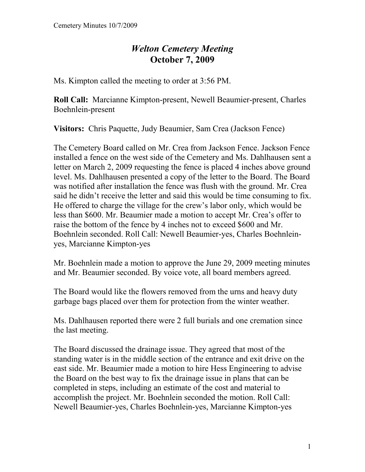## *Welton Cemetery Meeting*  **October 7, 2009**

Ms. Kimpton called the meeting to order at 3:56 PM.

**Roll Call:** Marcianne Kimpton-present, Newell Beaumier-present, Charles Boehnlein-present

**Visitors:** Chris Paquette, Judy Beaumier, Sam Crea (Jackson Fence)

The Cemetery Board called on Mr. Crea from Jackson Fence. Jackson Fence installed a fence on the west side of the Cemetery and Ms. Dahlhausen sent a letter on March 2, 2009 requesting the fence is placed 4 inches above ground level. Ms. Dahlhausen presented a copy of the letter to the Board. The Board was notified after installation the fence was flush with the ground. Mr. Crea said he didn't receive the letter and said this would be time consuming to fix. He offered to charge the village for the crew's labor only, which would be less than \$600. Mr. Beaumier made a motion to accept Mr. Crea's offer to raise the bottom of the fence by 4 inches not to exceed \$600 and Mr. Boehnlein seconded. Roll Call: Newell Beaumier-yes, Charles Boehnleinyes, Marcianne Kimpton-yes

Mr. Boehnlein made a motion to approve the June 29, 2009 meeting minutes and Mr. Beaumier seconded. By voice vote, all board members agreed.

The Board would like the flowers removed from the urns and heavy duty garbage bags placed over them for protection from the winter weather.

Ms. Dahlhausen reported there were 2 full burials and one cremation since the last meeting.

The Board discussed the drainage issue. They agreed that most of the standing water is in the middle section of the entrance and exit drive on the east side. Mr. Beaumier made a motion to hire Hess Engineering to advise the Board on the best way to fix the drainage issue in plans that can be completed in steps, including an estimate of the cost and material to accomplish the project. Mr. Boehnlein seconded the motion. Roll Call: Newell Beaumier-yes, Charles Boehnlein-yes, Marcianne Kimpton-yes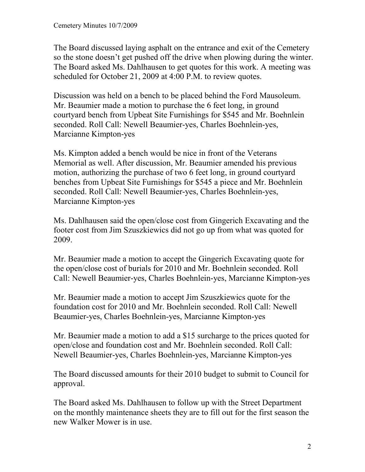The Board discussed laying asphalt on the entrance and exit of the Cemetery so the stone doesn't get pushed off the drive when plowing during the winter. The Board asked Ms. Dahlhausen to get quotes for this work. A meeting was scheduled for October 21, 2009 at 4:00 P.M. to review quotes.

Discussion was held on a bench to be placed behind the Ford Mausoleum. Mr. Beaumier made a motion to purchase the 6 feet long, in ground courtyard bench from Upbeat Site Furnishings for \$545 and Mr. Boehnlein seconded. Roll Call: Newell Beaumier-yes, Charles Boehnlein-yes, Marcianne Kimpton-yes

Ms. Kimpton added a bench would be nice in front of the Veterans Memorial as well. After discussion, Mr. Beaumier amended his previous motion, authorizing the purchase of two 6 feet long, in ground courtyard benches from Upbeat Site Furnishings for \$545 a piece and Mr. Boehnlein seconded. Roll Call: Newell Beaumier-yes, Charles Boehnlein-yes, Marcianne Kimpton-yes

Ms. Dahlhausen said the open/close cost from Gingerich Excavating and the footer cost from Jim Szuszkiewics did not go up from what was quoted for 2009.

Mr. Beaumier made a motion to accept the Gingerich Excavating quote for the open/close cost of burials for 2010 and Mr. Boehnlein seconded. Roll Call: Newell Beaumier-yes, Charles Boehnlein-yes, Marcianne Kimpton-yes

Mr. Beaumier made a motion to accept Jim Szuszkiewics quote for the foundation cost for 2010 and Mr. Boehnlein seconded. Roll Call: Newell Beaumier-yes, Charles Boehnlein-yes, Marcianne Kimpton-yes

Mr. Beaumier made a motion to add a \$15 surcharge to the prices quoted for open/close and foundation cost and Mr. Boehnlein seconded. Roll Call: Newell Beaumier-yes, Charles Boehnlein-yes, Marcianne Kimpton-yes

The Board discussed amounts for their 2010 budget to submit to Council for approval.

The Board asked Ms. Dahlhausen to follow up with the Street Department on the monthly maintenance sheets they are to fill out for the first season the new Walker Mower is in use.